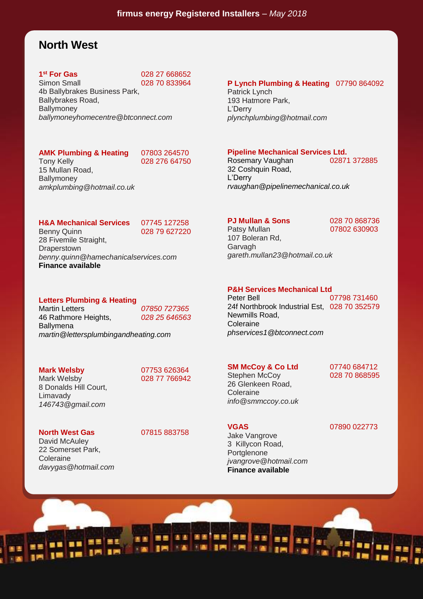## **North West**

# **1<sup>st</sup> For Gas**<br>Simon Small

**st For Gas** 028 27 668652 028 70 833964

4b Ballybrakes Business Park, Ballybrakes Road, **Ballymoney** *ballymoneyhomecentre@btconnect.com*

### **AMK Plumbing & Heating** 07803 264570

Tony Kelly 028 276 64750

15 Mullan Road, **Ballymoney** *amkplumbing@hotmail.co.uk*

#### **H&A Mechanical Services** 07745 127258

Benny Quinn 028 79 627220

28 Fivemile Straight, **Draperstown** *benny.quinn@hamechanicalservices.com* **Finance available**

#### **Letters Plumbing & Heating**

Martin Letters *07850 727365* 46 Rathmore Heights, *028 25 646563* **Ballymena** *martin@lettersplumbingandheating.com*

#### **Mark Welsby** 07753 626364

Limavady

Mark Welsby 028 77 766942

David McAuley 22 Somerset Park,

Coleraine

8 Donalds Hill Court,

*146743@gmail.com*

*davygas@hotmail.com*

**North West Gas** 07815 883758

#### **P Lynch Plumbing & Heating** 07790 864092

Patrick Lynch 193 Hatmore Park, L'Derry *plynchplumbing@hotmail.com*

# **Pipeline Mechanical Services Ltd.**<br>
Rosemary Vaughan

02871 372885

Rosemary Vaughan 32 Coshquin Road, L'Derry *rvaughan@pipelinemechanical.co.uk*

#### **PJ Mullan & Sons** 028 70 868736

Patsy Mullan **07802 630903** 107 Boleran Rd, Garvagh *gareth.mullan23@hotmail.co.uk*

#### **P&H Services Mechanical Ltd**

Peter Bell 07798 731460 24f Northbrook Industrial Est, 028 70 352579 Newmills Road, Coleraine *phservices1@btconnect.com*

#### **SM McCoy & Co Ltd** 07740 684712

Stephen McCoy 028 70 868595 26 Glenkeen Road, **Coleraine** *info@smmccoy.co.uk*

*jvangrove@hotmail.com* **Finance available**

Jake Vangrove 3 Killycon Road, Portglenone

#### **VGAS** 07890 022773

日画 **IF** m **K pag F ZE** 18